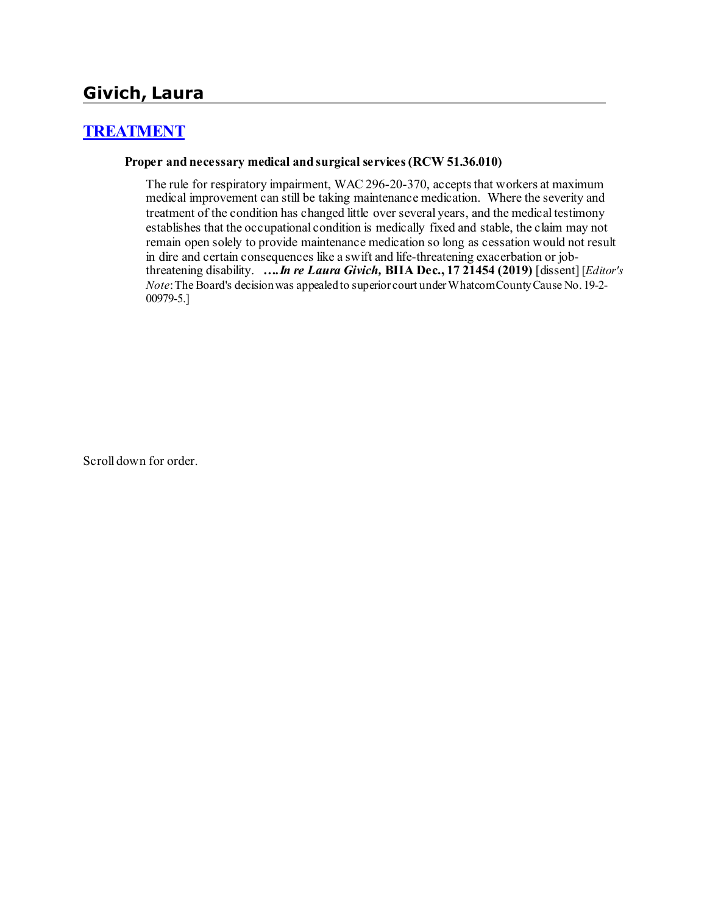# **Givich, Laura**

# **[TREATMENT](http://www.biia.wa.gov/SDSubjectIndex.html#TREATMENT)**

#### **Proper and necessary medical and surgical services (RCW 51.36.010)**

The rule for respiratory impairment, WAC 296-20-370, accepts that workers at maximum medical improvement can still be taking maintenance medication. Where the severity and treatment of the condition has changed little over several years, and the medical testimony establishes that the occupational condition is medically fixed and stable, the claim may not remain open solely to provide maintenance medication so long as cessation would not result in dire and certain consequences like a swift and life-threatening exacerbation or jobthreatening disability. *….In re Laura Givich,* **BIIA Dec., 17 21454 (2019)** [dissent] [*Editor's Note*: The Board's decision was appealed to superior court under Whatcom County Cause No. 19-2- 00979-5.]

Scroll down for order.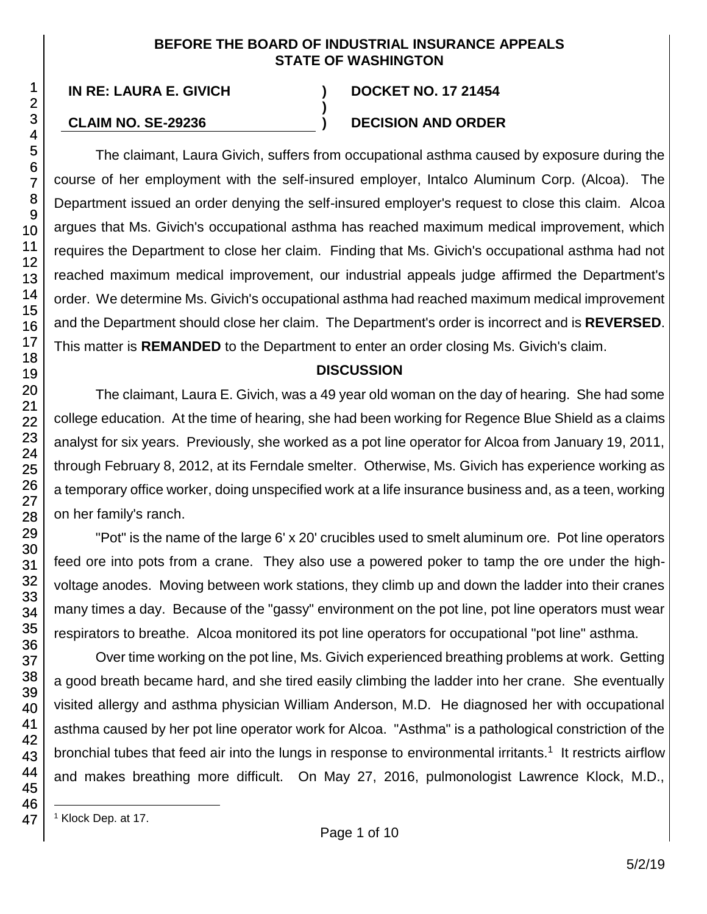### **BEFORE THE BOARD OF INDUSTRIAL INSURANCE APPEALS STATE OF WASHINGTON**

**)**

**IN RE: LAURA E. GIVICH ) DOCKET NO. 17 21454**

# **CLAIM NO. SE-29236 ) DECISION AND ORDER**

The claimant, Laura Givich, suffers from occupational asthma caused by exposure during the course of her employment with the self-insured employer, Intalco Aluminum Corp. (Alcoa). The Department issued an order denying the self-insured employer's request to close this claim. Alcoa argues that Ms. Givich's occupational asthma has reached maximum medical improvement, which requires the Department to close her claim. Finding that Ms. Givich's occupational asthma had not reached maximum medical improvement, our industrial appeals judge affirmed the Department's order. We determine Ms. Givich's occupational asthma had reached maximum medical improvement and the Department should close her claim. The Department's order is incorrect and is **REVERSED**. This matter is **REMANDED** to the Department to enter an order closing Ms. Givich's claim.

## **DISCUSSION**

The claimant, Laura E. Givich, was a 49 year old woman on the day of hearing. She had some college education. At the time of hearing, she had been working for Regence Blue Shield as a claims analyst for six years. Previously, she worked as a pot line operator for Alcoa from January 19, 2011, through February 8, 2012, at its Ferndale smelter. Otherwise, Ms. Givich has experience working as a temporary office worker, doing unspecified work at a life insurance business and, as a teen, working on her family's ranch.

"Pot" is the name of the large 6' x 20' crucibles used to smelt aluminum ore. Pot line operators feed ore into pots from a crane. They also use a powered poker to tamp the ore under the highvoltage anodes. Moving between work stations, they climb up and down the ladder into their cranes many times a day. Because of the "gassy" environment on the pot line, pot line operators must wear respirators to breathe. Alcoa monitored its pot line operators for occupational "pot line" asthma.

Over time working on the pot line, Ms. Givich experienced breathing problems at work. Getting a good breath became hard, and she tired easily climbing the ladder into her crane. She eventually visited allergy and asthma physician William Anderson, M.D. He diagnosed her with occupational asthma caused by her pot line operator work for Alcoa. "Asthma" is a pathological constriction of the bronchial tubes that feed air into the lungs in response to environmental irritants.<sup>1</sup> It restricts airflow and makes breathing more difficult. On May 27, 2016, pulmonologist Lawrence Klock, M.D.,

<sup>1</sup> Klock Dep. at 17.

l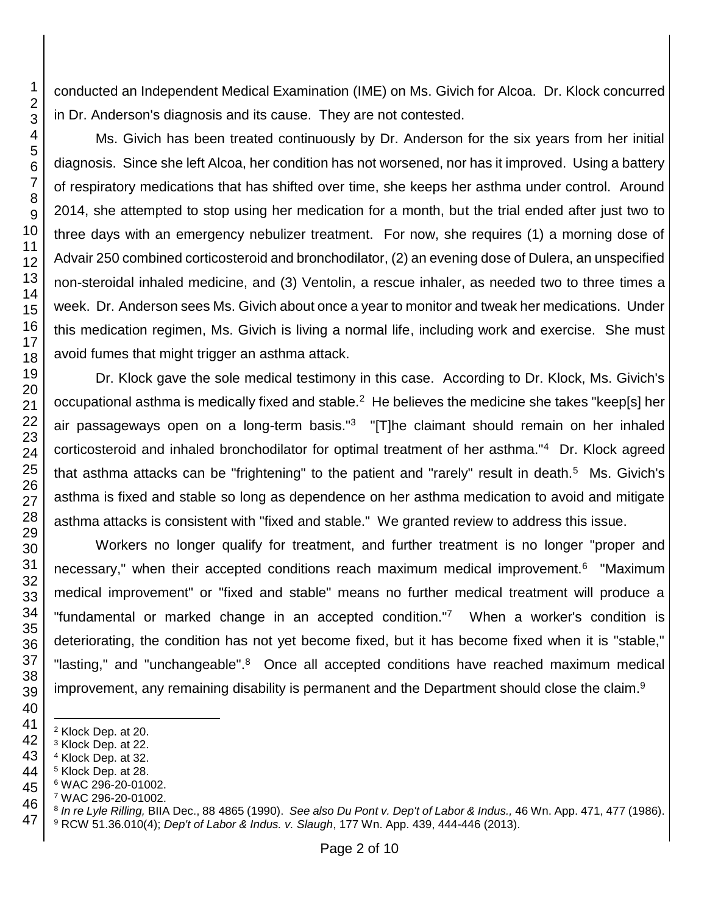conducted an Independent Medical Examination (IME) on Ms. Givich for Alcoa. Dr. Klock concurred in Dr. Anderson's diagnosis and its cause. They are not contested.

Ms. Givich has been treated continuously by Dr. Anderson for the six years from her initial diagnosis. Since she left Alcoa, her condition has not worsened, nor has it improved. Using a battery of respiratory medications that has shifted over time, she keeps her asthma under control. Around 2014, she attempted to stop using her medication for a month, but the trial ended after just two to three days with an emergency nebulizer treatment. For now, she requires (1) a morning dose of Advair 250 combined corticosteroid and bronchodilator, (2) an evening dose of Dulera, an unspecified non-steroidal inhaled medicine, and (3) Ventolin, a rescue inhaler, as needed two to three times a week. Dr. Anderson sees Ms. Givich about once a year to monitor and tweak her medications. Under this medication regimen, Ms. Givich is living a normal life, including work and exercise. She must avoid fumes that might trigger an asthma attack.

Dr. Klock gave the sole medical testimony in this case. According to Dr. Klock, Ms. Givich's occupational asthma is medically fixed and stable.<sup>2</sup> He believes the medicine she takes "keep[s] her air passageways open on a long-term basis."<sup>3</sup> "[T]he claimant should remain on her inhaled corticosteroid and inhaled bronchodilator for optimal treatment of her asthma."<sup>4</sup> Dr. Klock agreed that asthma attacks can be "frightening" to the patient and "rarely" result in death.<sup>5</sup> Ms. Givich's asthma is fixed and stable so long as dependence on her asthma medication to avoid and mitigate asthma attacks is consistent with "fixed and stable." We granted review to address this issue.

Workers no longer qualify for treatment, and further treatment is no longer "proper and necessary," when their accepted conditions reach maximum medical improvement.<sup>6</sup> "Maximum medical improvement" or "fixed and stable" means no further medical treatment will produce a "fundamental or marked change in an accepted condition."<sup>7</sup> When a worker's condition is deteriorating, the condition has not yet become fixed, but it has become fixed when it is "stable," "lasting," and "unchangeable".<sup>8</sup> Once all accepted conditions have reached maximum medical improvement, any remaining disability is permanent and the Department should close the claim.<sup>9</sup>

- Klock Dep. at 20.
- Klock Dep. at 22.

l

- Klock Dep. at 32.
- Klock Dep. at 28.
- WAC 296-20-01002.
- WAC 296-20-01002.
- *In re Lyle Rilling,* BIIA Dec., 88 4865 (1990). *See also Du Pont v. Dep't of Labor & Indus.,* 46 Wn. App. 471, 477 (1986). RCW 51.36.010(4); *Dep't of Labor & Indus. v. Slaugh*, 177 Wn. App. 439, 444-446 (2013).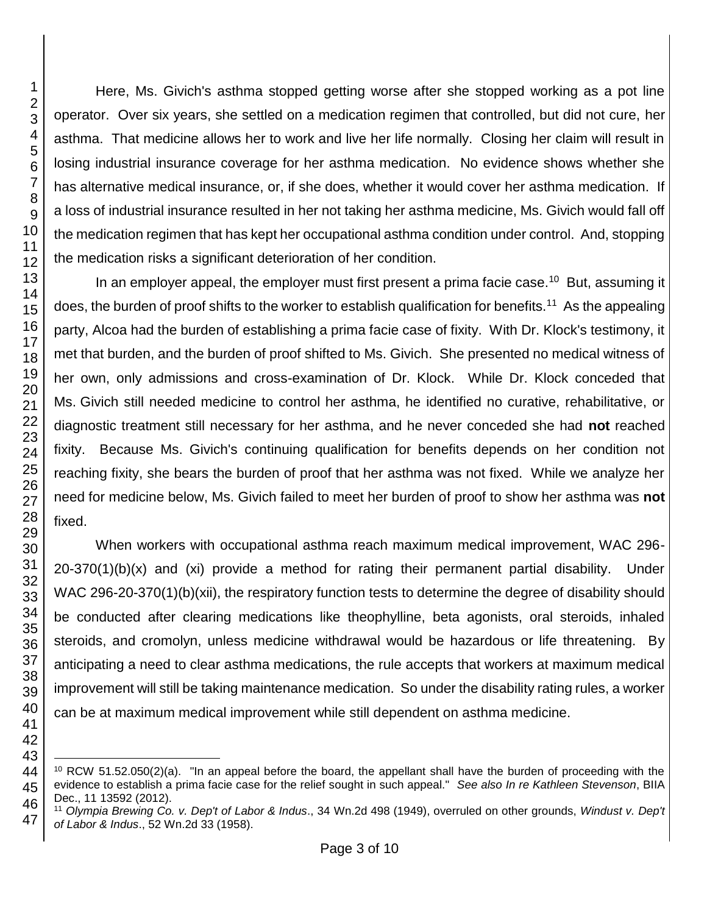Here, Ms. Givich's asthma stopped getting worse after she stopped working as a pot line operator. Over six years, she settled on a medication regimen that controlled, but did not cure, her asthma. That medicine allows her to work and live her life normally. Closing her claim will result in losing industrial insurance coverage for her asthma medication. No evidence shows whether she has alternative medical insurance, or, if she does, whether it would cover her asthma medication. If a loss of industrial insurance resulted in her not taking her asthma medicine, Ms. Givich would fall off the medication regimen that has kept her occupational asthma condition under control. And, stopping the medication risks a significant deterioration of her condition.

In an employer appeal, the employer must first present a prima facie case.<sup>10</sup> But, assuming it does, the burden of proof shifts to the worker to establish qualification for benefits.<sup>11</sup> As the appealing party, Alcoa had the burden of establishing a prima facie case of fixity. With Dr. Klock's testimony, it met that burden, and the burden of proof shifted to Ms. Givich. She presented no medical witness of her own, only admissions and cross-examination of Dr. Klock. While Dr. Klock conceded that Ms. Givich still needed medicine to control her asthma, he identified no curative, rehabilitative, or diagnostic treatment still necessary for her asthma, and he never conceded she had **not** reached fixity. Because Ms. Givich's continuing qualification for benefits depends on her condition not reaching fixity, she bears the burden of proof that her asthma was not fixed. While we analyze her need for medicine below, Ms. Givich failed to meet her burden of proof to show her asthma was **not** fixed.

When workers with occupational asthma reach maximum medical improvement, WAC 296- 20-370(1)(b)(x) and (xi) provide a method for rating their permanent partial disability. Under WAC 296-20-370(1)(b)(xii), the respiratory function tests to determine the degree of disability should be conducted after clearing medications like theophylline, beta agonists, oral steroids, inhaled steroids, and cromolyn, unless medicine withdrawal would be hazardous or life threatening. By anticipating a need to clear asthma medications, the rule accepts that workers at maximum medical improvement will still be taking maintenance medication. So under the disability rating rules, a worker can be at maximum medical improvement while still dependent on asthma medicine.

l RCW 51.52.050(2)(a). "In an appeal before the board, the appellant shall have the burden of proceeding with the evidence to establish a prima facie case for the relief sought in such appeal." *See also In re Kathleen Stevenson*, BIIA Dec., 11 13592 (2012).

 *Olympia Brewing Co. v. Dep't of Labor & Indus*., 34 Wn.2d 498 (1949), overruled on other grounds, *Windust v. Dep't of Labor & Indus*., 52 Wn.2d 33 (1958).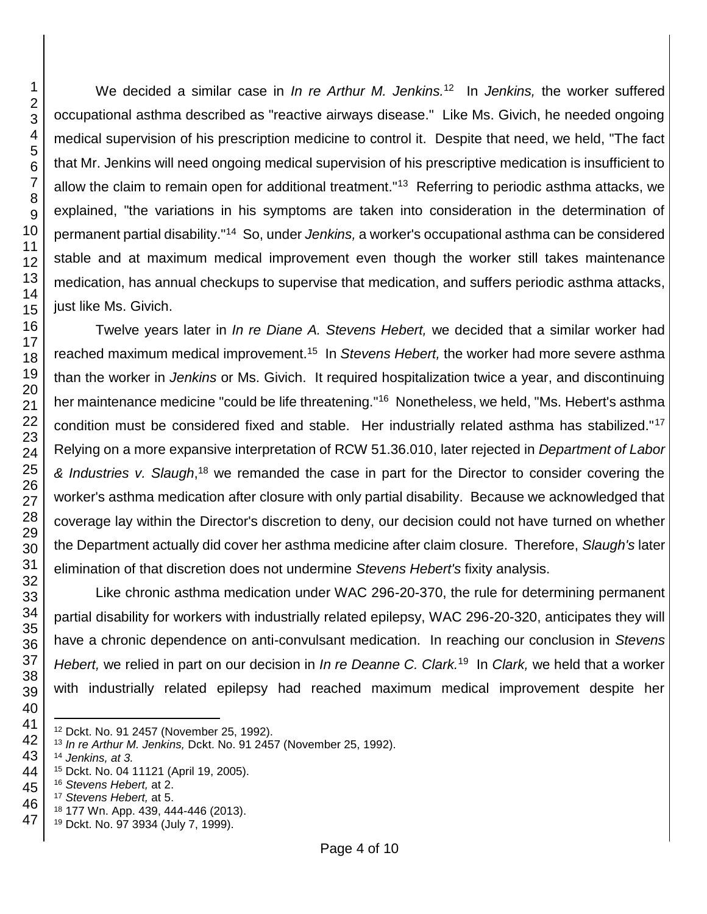We decided a similar case in *In re Arthur M. Jenkins*.<sup>12</sup> In Jenkins, the worker suffered occupational asthma described as "reactive airways disease." Like Ms. Givich, he needed ongoing medical supervision of his prescription medicine to control it. Despite that need, we held, "The fact that Mr. Jenkins will need ongoing medical supervision of his prescriptive medication is insufficient to allow the claim to remain open for additional treatment."<sup>13</sup> Referring to periodic asthma attacks, we explained, "the variations in his symptoms are taken into consideration in the determination of permanent partial disability."<sup>14</sup> So, under *Jenkins,* a worker's occupational asthma can be considered stable and at maximum medical improvement even though the worker still takes maintenance medication, has annual checkups to supervise that medication, and suffers periodic asthma attacks, just like Ms. Givich.

Twelve years later in *In re Diane A. Stevens Hebert,* we decided that a similar worker had reached maximum medical improvement.<sup>15</sup> In Stevens Hebert, the worker had more severe asthma than the worker in *Jenkins* or Ms. Givich. It required hospitalization twice a year, and discontinuing her maintenance medicine "could be life threatening."<sup>16</sup> Nonetheless, we held, "Ms. Hebert's asthma condition must be considered fixed and stable. Her industrially related asthma has stabilized."<sup>17</sup> Relying on a more expansive interpretation of RCW 51.36.010, later rejected in *Department of Labor & Industries v. Slaugh*, <sup>18</sup> we remanded the case in part for the Director to consider covering the worker's asthma medication after closure with only partial disability. Because we acknowledged that coverage lay within the Director's discretion to deny, our decision could not have turned on whether the Department actually did cover her asthma medicine after claim closure. Therefore, *Slaugh's* later elimination of that discretion does not undermine *Stevens Hebert's* fixity analysis.

Like chronic asthma medication under WAC 296-20-370, the rule for determining permanent partial disability for workers with industrially related epilepsy, WAC 296-20-320, anticipates they will have a chronic dependence on anti-convulsant medication. In reaching our conclusion in *Stevens Hebert,* we relied in part on our decision in *In re Deanne C. Clark*.<sup>19</sup> In *Clark,* we held that a worker with industrially related epilepsy had reached maximum medical improvement despite her

Dckt. No. 91 2457 (November 25, 1992).

*Jenkins, at 3.*

l

*In re Arthur M. Jenkins,* Dckt. No. 91 2457 (November 25, 1992).

Dckt. No. 04 11121 (April 19, 2005).

*Stevens Hebert,* at 2.

*Stevens Hebert,* at 5.

177 Wn. App. 439, 444-446 (2013).

Dckt. No. 97 3934 (July 7, 1999).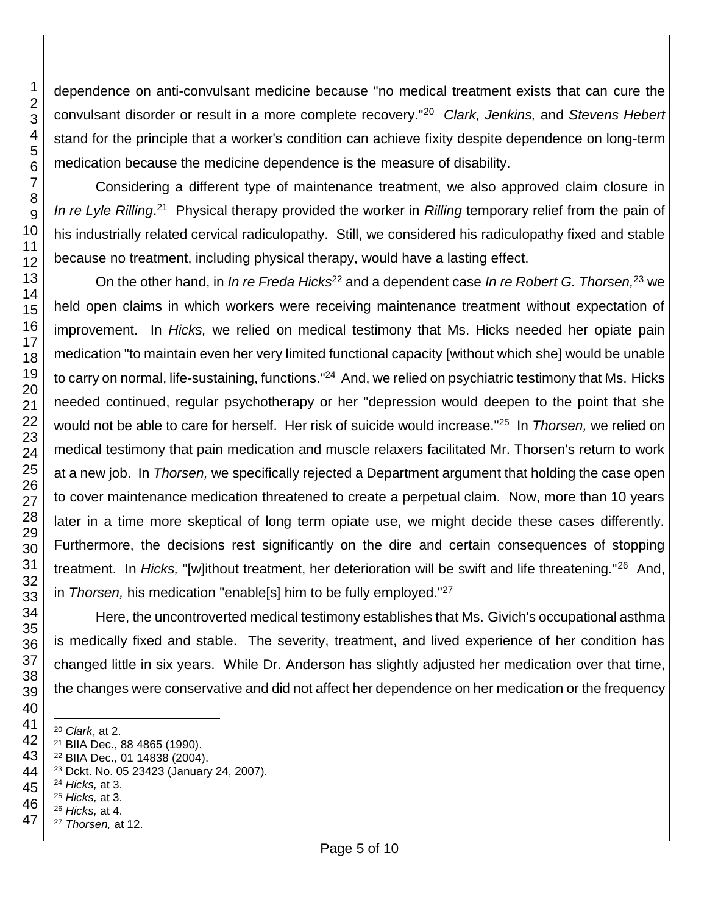dependence on anti-convulsant medicine because "no medical treatment exists that can cure the convulsant disorder or result in a more complete recovery."<sup>20</sup> *Clark, Jenkins,* and *Stevens Hebert*  stand for the principle that a worker's condition can achieve fixity despite dependence on long-term medication because the medicine dependence is the measure of disability.

Considering a different type of maintenance treatment, we also approved claim closure in In re Lyle Rilling.<sup>21</sup> Physical therapy provided the worker in *Rilling* temporary relief from the pain of his industrially related cervical radiculopathy. Still, we considered his radiculopathy fixed and stable because no treatment, including physical therapy, would have a lasting effect.

On the other hand, in *In re Freda Hicks*<sup>22</sup> and a dependent case *In re Robert G. Thorsen,*<sup>23</sup> we held open claims in which workers were receiving maintenance treatment without expectation of improvement. In *Hicks,* we relied on medical testimony that Ms. Hicks needed her opiate pain medication "to maintain even her very limited functional capacity [without which she] would be unable to carry on normal, life-sustaining, functions."<sup>24</sup> And, we relied on psychiatric testimony that Ms. Hicks needed continued, regular psychotherapy or her "depression would deepen to the point that she would not be able to care for herself. Her risk of suicide would increase."<sup>25</sup> In *Thorsen,* we relied on medical testimony that pain medication and muscle relaxers facilitated Mr. Thorsen's return to work at a new job. In *Thorsen,* we specifically rejected a Department argument that holding the case open to cover maintenance medication threatened to create a perpetual claim. Now, more than 10 years later in a time more skeptical of long term opiate use, we might decide these cases differently. Furthermore, the decisions rest significantly on the dire and certain consequences of stopping treatment. In Hicks, "[w]ithout treatment, her deterioration will be swift and life threatening."<sup>26</sup> And, in *Thorsen,* his medication "enable[s] him to be fully employed."<sup>27</sup>

Here, the uncontroverted medical testimony establishes that Ms. Givich's occupational asthma is medically fixed and stable. The severity, treatment, and lived experience of her condition has changed little in six years. While Dr. Anderson has slightly adjusted her medication over that time, the changes were conservative and did not affect her dependence on her medication or the frequency

- l *Clark*, at 2.
- BIIA Dec., 88 4865 (1990).
- BIIA Dec., 01 14838 (2004).
- Dckt. No. 05 23423 (January 24, 2007).
- *Hicks,* at 3.
- *Hicks,* at 3.
- *Hicks,* at 4.
- *Thorsen,* at 12.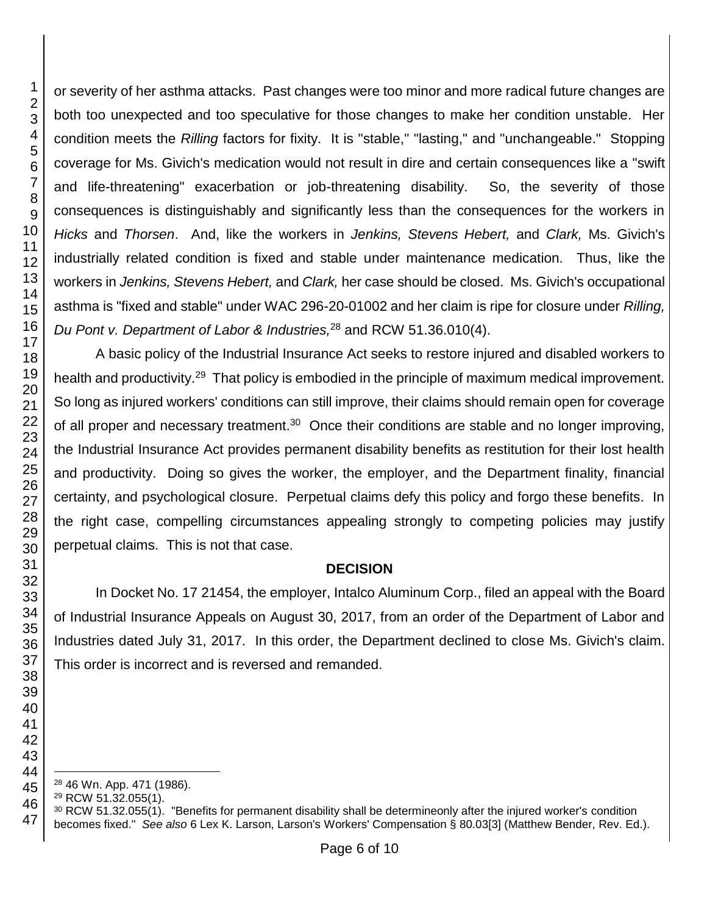or severity of her asthma attacks. Past changes were too minor and more radical future changes are both too unexpected and too speculative for those changes to make her condition unstable. Her condition meets the *Rilling* factors for fixity. It is "stable," "lasting," and "unchangeable." Stopping coverage for Ms. Givich's medication would not result in dire and certain consequences like a "swift and life-threatening" exacerbation or job-threatening disability. So, the severity of those consequences is distinguishably and significantly less than the consequences for the workers in *Hicks* and *Thorsen*. And, like the workers in *Jenkins, Stevens Hebert,* and *Clark,* Ms. Givich's industrially related condition is fixed and stable under maintenance medication. Thus, like the workers in *Jenkins, Stevens Hebert,* and *Clark,* her case should be closed. Ms. Givich's occupational asthma is "fixed and stable" under WAC 296-20-01002 and her claim is ripe for closure under *Rilling, Du Pont v. Department of Labor & Industries,*<sup>28</sup> and RCW 51.36.010(4).

A basic policy of the Industrial Insurance Act seeks to restore injured and disabled workers to health and productivity.<sup>29</sup> That policy is embodied in the principle of maximum medical improvement. So long as injured workers' conditions can still improve, their claims should remain open for coverage of all proper and necessary treatment.<sup>30</sup> Once their conditions are stable and no longer improving, the Industrial Insurance Act provides permanent disability benefits as restitution for their lost health and productivity. Doing so gives the worker, the employer, and the Department finality, financial certainty, and psychological closure. Perpetual claims defy this policy and forgo these benefits. In the right case, compelling circumstances appealing strongly to competing policies may justify perpetual claims. This is not that case.

## **DECISION**

In Docket No. 17 21454, the employer, Intalco Aluminum Corp., filed an appeal with the Board of Industrial Insurance Appeals on August 30, 2017, from an order of the Department of Labor and Industries dated July 31, 2017. In this order, the Department declined to close Ms. Givich's claim. This order is incorrect and is reversed and remanded.

l 46 Wn. App. 471 (1986).

RCW 51.32.055(1).

<sup>&</sup>lt;sup>30</sup> RCW 51.32.055(1). "Benefits for permanent disability shall be determineonly after the injured worker's condition becomes fixed." *See also* 6 Lex K. Larson, Larson's Workers' Compensation § 80.03[3] (Matthew Bender, Rev. Ed.).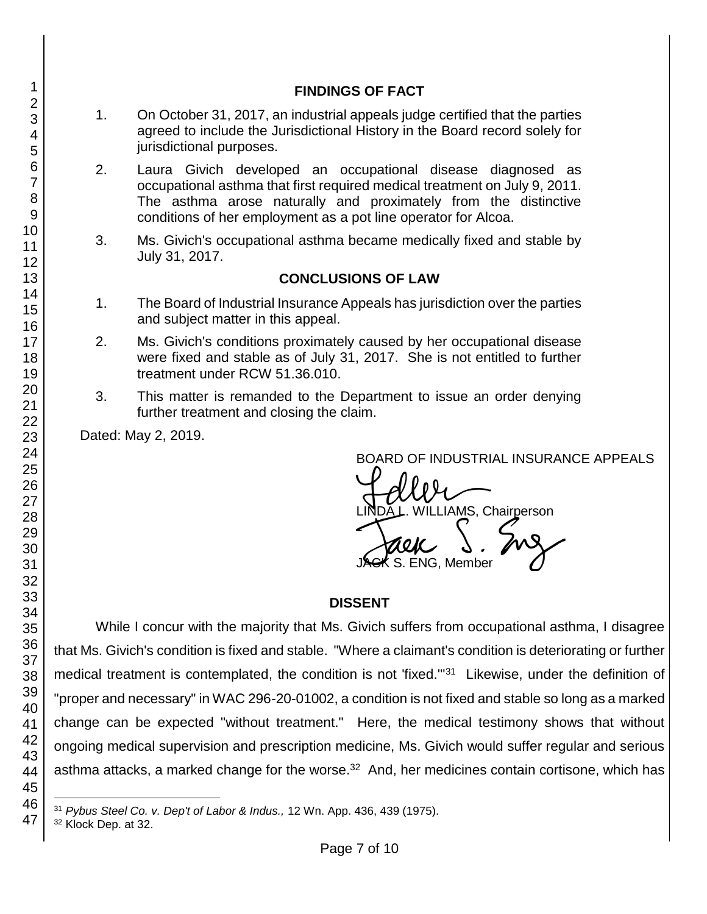# 1. On October 31, 2017, an industrial appeals judge certified that the parties agreed to include the Jurisdictional History in the Board record solely for jurisdictional purposes.

**FINDINGS OF FACT**

- 2. Laura Givich developed an occupational disease diagnosed as occupational asthma that first required medical treatment on July 9, 2011. The asthma arose naturally and proximately from the distinctive conditions of her employment as a pot line operator for Alcoa.
- 3. Ms. Givich's occupational asthma became medically fixed and stable by July 31, 2017.

# **CONCLUSIONS OF LAW**

- 1. The Board of Industrial Insurance Appeals has jurisdiction over the parties and subject matter in this appeal.
- 2. Ms. Givich's conditions proximately caused by her occupational disease were fixed and stable as of July 31, 2017. She is not entitled to further treatment under RCW 51.36.010.
- 3. This matter is remanded to the Department to issue an order denying further treatment and closing the claim.

Dated: May 2, 2019.

BOARD OF INDUSTRIAL INSURANCE APPEALS

BOARD OF INDUSTRIAL INSURAN<br>LINDA L. WILLIAMS, Chairperson<br>JAGK S. ENG, Member  $\boldsymbol{\kappa}$  S. ENG. Member

# **DISSENT**

While I concur with the majority that Ms. Givich suffers from occupational asthma, I disagree that Ms. Givich's condition is fixed and stable. "Where a claimant's condition is deteriorating or further medical treatment is contemplated, the condition is not 'fixed."<sup>31</sup> Likewise, under the definition of "proper and necessary" in WAC 296-20-01002, a condition is not fixed and stable so long as a marked change can be expected "without treatment." Here, the medical testimony shows that without ongoing medical supervision and prescription medicine, Ms. Givich would suffer regular and serious asthma attacks, a marked change for the worse.<sup>32</sup> And, her medicines contain cortisone, which has

<sup>32</sup> Klock Dep. at 32.

l <sup>31</sup> *Pybus Steel Co. v. Dep't of Labor & Indus.,* 12 Wn. App. 436, 439 (1975).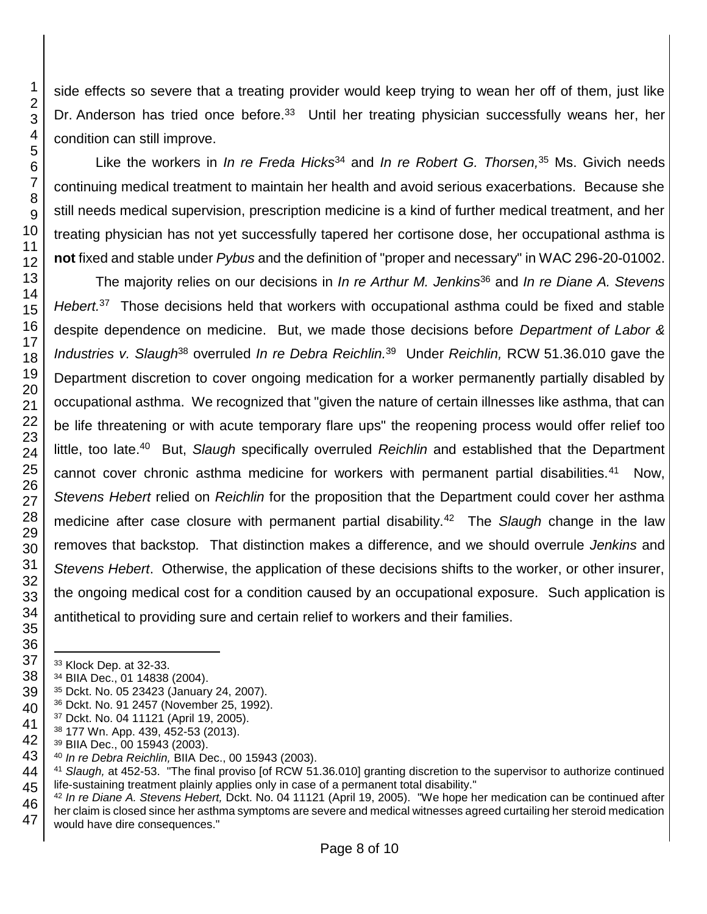side effects so severe that a treating provider would keep trying to wean her off of them, just like Dr. Anderson has tried once before.<sup>33</sup> Until her treating physician successfully weans her, her condition can still improve.

Like the workers in *In re Freda Hicks*<sup>34</sup> and *In re Robert G. Thorsen,*<sup>35</sup> Ms. Givich needs continuing medical treatment to maintain her health and avoid serious exacerbations. Because she still needs medical supervision, prescription medicine is a kind of further medical treatment, and her treating physician has not yet successfully tapered her cortisone dose, her occupational asthma is **not** fixed and stable under *Pybus* and the definition of "proper and necessary" in WAC 296-20-01002.

The majority relies on our decisions in *In re Arthur M. Jenkins*<sup>36</sup> and *In re Diane A. Stevens Hebert.*<sup>37</sup> Those decisions held that workers with occupational asthma could be fixed and stable despite dependence on medicine. But, we made those decisions before *Department of Labor & Industries v. Slaugh*<sup>38</sup> overruled *In re Debra Reichlin.*<sup>39</sup> Under *Reichlin,* RCW 51.36.010 gave the Department discretion to cover ongoing medication for a worker permanently partially disabled by occupational asthma. We recognized that "given the nature of certain illnesses like asthma, that can be life threatening or with acute temporary flare ups" the reopening process would offer relief too little, too late.<sup>40</sup> But, Slaugh specifically overruled *Reichlin* and established that the Department cannot cover chronic asthma medicine for workers with permanent partial disabilities.<sup>41</sup> Now, *Stevens Hebert* relied on *Reichlin* for the proposition that the Department could cover her asthma medicine after case closure with permanent partial disability.<sup>42</sup> The *Slaugh* change in the law removes that backstop*.* That distinction makes a difference, and we should overrule *Jenkins* and *Stevens Hebert*. Otherwise, the application of these decisions shifts to the worker, or other insurer, the ongoing medical cost for a condition caused by an occupational exposure. Such application is antithetical to providing sure and certain relief to workers and their families.

l

- BIIA Dec., 01 14838 (2004).
- Dckt. No. 05 23423 (January 24, 2007).
- Dckt. No. 91 2457 (November 25, 1992).
- Dckt. No. 04 11121 (April 19, 2005).
- 177 Wn. App. 439, 452-53 (2013).
- BIIA Dec., 00 15943 (2003).
- *In re Debra Reichlin,* BIIA Dec., 00 15943 (2003).

Klock Dep. at 32-33.

 *Slaugh,* at 452-53. "The final proviso [of RCW 51.36.010] granting discretion to the supervisor to authorize continued life-sustaining treatment plainly applies only in case of a permanent total disability."

 *In re Diane A. Stevens Hebert,* Dckt. No. 04 11121 (April 19, 2005). "We hope her medication can be continued after her claim is closed since her asthma symptoms are severe and medical witnesses agreed curtailing her steroid medication would have dire consequences."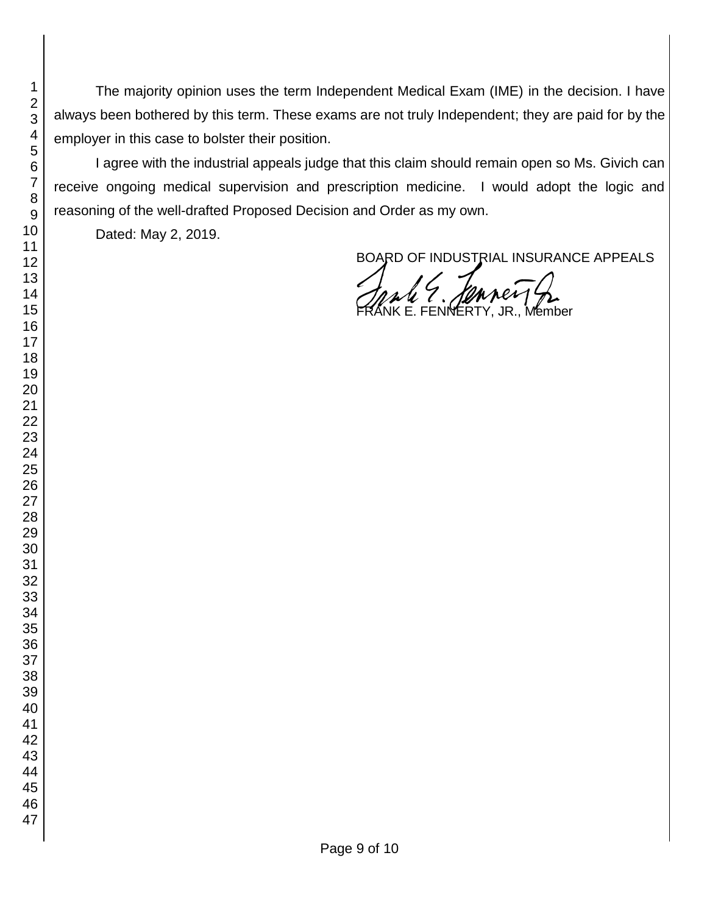The majority opinion uses the term Independent Medical Exam (IME) in the decision. I have always been bothered by this term. These exams are not truly Independent; they are paid for by the employer in this case to bolster their position.

I agree with the industrial appeals judge that this claim should remain open so Ms. Givich can receive ongoing medical supervision and prescription medicine. I would adopt the logic and reasoning of the well-drafted Proposed Decision and Order as my own.

Dated: May 2, 2019.

BOARD OF INDUSTRIAL INSURANCE APPEALS

ale 9. Jeanney 2